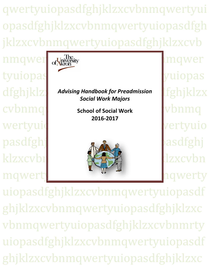qwertyuiopasdfghjklzxcvbnmqwertyui opasdfghjklzxcvbnmqwertyuiopasdfgh jklzxcvbnmqwertyuiopasdfghjklzxcvb

nmqwer <sub>of</sub>University hmqwer tyuiopas<sup>d</sup> in the set of the set of the set of the set of the set of the set of the set of the set of the set o  $\text{cubnmq}$  school of Social Work when  $\text{wbmq}$ wertyuio pasdfghj klzxcvbr**ityuiopasta de la strategie de la strategie de la** de la strategie de la strategie de la strategie de l mqwerty and the moment of the moment of the moment of the moment of the moment of the moment of the moment of the moment of the moment of the moment of the moment of the moment of the moment of the moment of the moment of



dfghjklz**i** Advising Handbook for Preadmission **Ifghjklzx** *Social Work Majors*

> **School of Social Work 2016-2017**



 $\overline{a}$ 

uiopasdfghjklzxcvbnmqwertyuiopasdf ghjklzxcvbnmqwertyuiopasdfghjklzxc vbnmqwertyuiopasdfghjklzxcvbnmrty uiopasdfghjklzxcvbnmqwertyuiopasdf ghjklzxcvbnmqwertyuiopasdfghjklzxc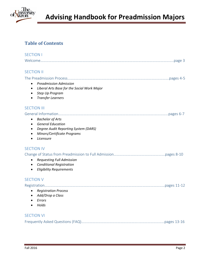

# **Table of Contents**

| <b>SECTION I</b>                                                                                                                                                                |
|---------------------------------------------------------------------------------------------------------------------------------------------------------------------------------|
|                                                                                                                                                                                 |
| <b>SECTION II</b>                                                                                                                                                               |
| <b>Preadmission Admission</b><br>$\bullet$<br>Liberal Arts Base for the Social Work Major<br>$\bullet$<br>Step Up Program<br>$\bullet$<br><b>Transfer Learners</b><br>$\bullet$ |
| <b>SECTION III</b>                                                                                                                                                              |
| <b>Bachelor of Arts</b><br>$\bullet$<br><b>General Education</b><br>$\bullet$<br>Degree Audit Reporting System (DARS)<br>Minors/Certificate Programs<br>Licensure               |
| <b>SECTION IV</b>                                                                                                                                                               |
| <b>Requesting Full Admission</b><br>$\bullet$<br><b>Conditional Registration</b><br>$\bullet$<br><b>Eligibility Requirements</b><br>$\bullet$                                   |
| <b>SECTION V</b>                                                                                                                                                                |
| <b>Registration Process</b><br>$\bullet$<br>Add/Drop a Class<br>Errors<br>Holds                                                                                                 |
| <b>SECTION VI</b>                                                                                                                                                               |
|                                                                                                                                                                                 |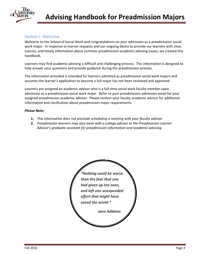

# Section I- Welcome

Welcome to the School of Social Work and congratulations on your admission as a preadmission social work major. In response to learner requests and our ongoing desire to provide our learners with clear, concise, and timely information about common preadmission academic advising issues, we created this handbook.

Learners may find academic advising a difficult and challenging process. This information is designed to help answer your questions and provide guidance during the preadmission process.

The information provided is intended for learners admitted as preadmission social work majors and assumes the learner's application to become a full major has not been reviewed and approved.

Learners are assigned an academic advisor who is a full-time social work faculty member upon admission as a preadmission social work major. Refer to your preadmission admission email for your assigned preadmission academic advisor. Please contact your faculty academic advisor for additional information and clarification about preadmission major requirements.

## *Please Note:*

- **1.** *This information does not preclude scheduling a meeting with your faculty advisor.*
- **2.** *Preadmission learners may also meet with a college advisor or the Preadmission Learner Advisor's graduate assistant for preadmission information and academic advising.*

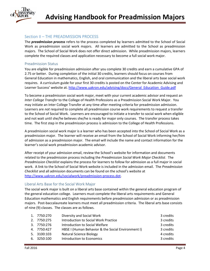

# Section II – THE PREADMISSION PROCESS

The *preadmission process* refers to the process completed by learners admitted to the School of Social Work as preadmission social work majors. All learners are admitted to the School as preadmission majors. The School of Social Work does not offer direct admission. While preadmission majors, learners complete the required classes and application necessary to become a full social work major.

# Preadmission Status

You are eligible for preadmission admission after you complete 30 credits and earn a cumulative GPA of 2.75 or better. During completion of the initial 30 credits, learners should focus on courses from General Education in mathematics, English, and oral communication and the liberal arts base social work requires. A curriculum guide for your first 30 credits is posted on the Center for Academic Advising and Learner Success' website at. [http://www.uakron.edu/advising/docs/General\\_Education\\_Guide.pdf](http://www.uakron.edu/advising/docs/General_Education_Guide.pdf)

To become a preadmission social work major, meet with your current academic advisor and request an *Inter College Transfer* to the College of Health Professions as a Preadmission Social Work Major. You may initiate an Inter College Transfer at any time after meeting criteria for preadmission admission. Learners are *not* required to complete all preadmission course work requirements to request a transfer to the School of Social Work. Learners are encouraged to initiate a transfer to social work when eligible and not wait until she/he believes she/he is ready for major only courses. The transfer process takes time. The first step in the preadmission process is admission to the College of Health Professions.

A preadmission social work major is a learner who has been accepted into the School of Social Work as a preadmission major. The learner will receive an email from the School of Social Work informing her/him of admission as a preadmission major. The email will include the name and contact information for the learner's social work preadmission academic advisor.

After receipt of your admission email, review the School's website for information and documents related to the preadmission process including the *Preadmission Social Work Major Checklist*. The *Preadmission Checklist* explains the process for learners to follow for admission as a full major in social work. A link to the School of Social Work website is included in the admission email. The *Preadmission Checklist* and all admission documents can be found on the school's website at [http://www.uakron.edu/socialwork/preadmission-process.dot.](http://www.uakron.edu/socialwork/pending-process.dot)

## Liberal Arts Base for the Social Work Major

The social work major is built on a liberal arts base contained within the general education program of the general education college. Learners must complete the liberal arts requirements and General Education mathematics and English requirements before preadmission admission or as preadmission majors. Post-baccalaureate learners must meet all preadmission criteria. The liberal arts base consists of nine (9) classes. The classes are as follows.

| 1. 7750:270 | Diversity and Social Work                          | 3 credits |
|-------------|----------------------------------------------------|-----------|
| 2. 7750:275 | Introduction to Social Work Practice               | 3 credits |
| 3. 7750:276 | Introduction to Social Welfare                     | 3 credits |
| 4. 7750:427 | HBSE I (Human Behavior & the Social Environment I) | 3 credits |
| 5. 3100:103 | <b>Natural Science Biology</b>                     | 4 credits |
| 6. 3250:100 | Introduction to Economics                          | 3 credits |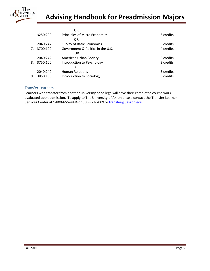

# **Advising Handbook for Preadmission Majors**

|    |          | OR                                |           |
|----|----------|-----------------------------------|-----------|
|    | 3250:200 | Principles of Micro Economics     | 3 credits |
|    |          | OR                                |           |
|    | 2040:247 | <b>Survey of Basic Economics</b>  | 3 credits |
| 7. | 3700:100 | Government & Politics in the U.S. | 4 credits |
|    |          | OR                                |           |
|    | 2040:242 | American Urban Society            | 3 credits |
| 8. | 3750:100 | Introduction to Psychology        | 3 credits |
|    |          | OR                                |           |
|    | 2040:240 | <b>Human Relations</b>            | 3 credits |
| 9. | 3850:100 | Introduction to Sociology         | 3 credits |

# Transfer Learners

Learners who transfer from another university or college will have their completed course work evaluated upon admission. To apply to The University of Akron please contact the Transfer Learner Services Center at 1-800-655-4884 or 330-972-7009 or [transfer@uakron.edu.](mailto:transfer@uakron.edu)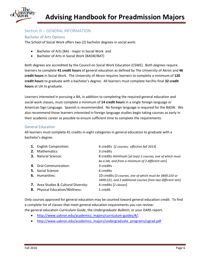

# Section III – GENERAL INFORMATION

# Bachelor of Arts Options

The School of Social Work offers two (2) bachelor degrees in social work:

- Bachelor of Arts (BA) major in Social Work and
- Bachelor of Arts in Social Work (BASW/BAT)

Both degrees are accredited by the Council on Social Work Education (CSWE). Both degrees require learners to complete **41 credit hours** of general education as defined by The University of Akron and **46 credit hours** in Social Work. The University of Akron requires learners to complete a minimum of **120 credit hours** to graduate with a bachelor's degree. All learners must complete her/his final **32 credit hours** at UA to graduate.

Learners interested in pursuing a BA, in addition to completing the required general education and social work classes, must complete a minimum of **14 credit hours** in a single foreign language or American Sign Language. Spanish is recommended. No foreign language is required for the BASW. We also recommend those learners interested in foreign language studies begin taking courses as early in their academic career as possible to ensure sufficient time to complete the requirements.

## General Education

All learners must complete 41 credits in eight categories in general education to graduate with a bachelor's degree.

| 1. English Composition:                                                                | 6 credits [2 courses; effective fall 2013]                                                                             |
|----------------------------------------------------------------------------------------|------------------------------------------------------------------------------------------------------------------------|
| <b>2.</b> Mathematics:                                                                 | 3 credits                                                                                                              |
| <b>3.</b> Natural Science:                                                             | 8 credits minimum [at least 2 courses, one of which must<br>be a lab, and from a minimum of 2 different sets           |
| 4. Oral Communication:                                                                 | 3 credits                                                                                                              |
| <b>5.</b> Social Science:                                                              | 6 credits                                                                                                              |
| <b>6.</b> Humanities:                                                                  | 10 credits [3 courses, one of which must be 3400:210 or<br>3400:221, and 2 additional courses from two different sets] |
| <b>7.</b> Area Studies & Cultural Diversity:<br><b>8.</b> Physical Education/Wellness: | 4 credits [2 classes]<br>1 credit                                                                                      |

Only courses approved for general education may be counted toward general education credit. To find a complete list of classes that meet general education requirements you can review: the general education *Curriculum Guide*, the *Undergraduate Bulletin*, or your DARS report.

- [http://www.uakron.edu/academics\\_majors/curriculum-guides/#/;](http://www.uakron.edu/academics_majors/curriculum-guides/#/)
- [http://www.uakron.edu/academics\\_majors/undergraduate\\_programs/ugrad.pdf](http://www.uakron.edu/academics_majors/undergraduate_programs/ugrad.pdf)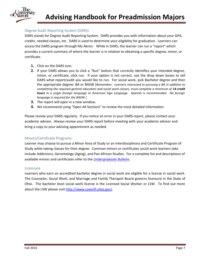

## Degree Audit Reporting System (DARS)

DARS stands for Degree Audit Reporting System. DARS provides you with information about your GPA, credits, needed classes, etc. DARS is used to determine your eligibility for graduation. Learners can access the DARS program through My Akron. While in DARS, the learner can run a "report" which provides a current summary of where the learner is in relation to obtaining a specific degree, minor, or certificate.

- **1.** Click on the DARS icon.
- **2.** If your DARS allows you to click a "Run" button that correctly identifies your intended degree, minor, or certificate, click run. If your option is not correct, use the drop down boxes to tell DARS what report/audit you would like to run. For social work, pick Bachelor degree and then the appropriate degree: BA or BASW [*Remember: Learners interested in pursuing a BA in addition to completing the required general education and social work classes, must complete a minimum of 14 credit hours in a single foreign language or American Sign Language. Spanish is recommended. No foreign language is required for the BASW.]*
- **3.** The report will open in a new window.
- **4.** We recommend using "Open All Sections" to review the most detailed information

Please review your DARS regularly. If you notice an error in your DARS report, please contact your academic advisor. Always review your DARS report before meeting with your academic advisor and bring a copy to your advising appointment as needed.

# Minors/Certificate Programs

Learner may choose to pursue a Minor Area of Study or an Interdisciplinary and Certificate Program of Study while taking classes for their degree. Common minors or certificates social work learners take include Addictions, Gerontology (Aging), and Pan-African Studies. For a complete list and descriptions of available minors and certificates refer to the *[Undergraduate Bulletin](http://www.uakron.edu/academics_majors/ub/index.dot)*.

## Licensure

Learners who earn an accredited bachelor degree in social work are eligible for a license in social work. The Counselor, Social Work, and Marriage and Family Therapist Board governs licensure in the State of Ohio. The bachelor level social work license is the Licensed Social Worker or LSW. To find out more about the LSW please visit [http://www.cswmft.ohio.gov/.](http://www.cswmft.ohio.gov/)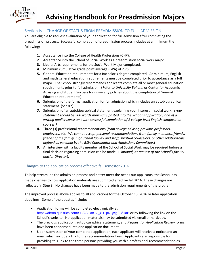

# Section IV – CHANGE OF STATUS FROM PREADMISSION TO FULL ADMISSION

You are eligible to request evaluation of your application for full admission after completing the preadmission process. Successful completion of preadmission process includes at a minimum the following:

- **1.** Acceptance into the College of Health Professions (CHP).
- **2.** Acceptance into the School of Social Work as a preadmission social work major.
- **3.** Liberal Arts requirements for the Social Work Major completed.
- **4.** Minimum cumulative grade point average (GPA) of 2.75.
- **5.** General Education requirements for a Bachelor's degree completed. At minimum, English and math general education requirements must be completed prior to acceptance as a full major. The School strongly recommends applicants complete all or most general education requirements prior to full admission. (Refer to *University Bulletin* or Center for Academic Advising and Student Success for university policies about the completion of General Education requirements).
- **6.** Submission of the formal application for full admission which includes an autobiographical statement. (See #7)
- *7.* Submission of an autobiographical statement explaining your interest in social work. *(Your statement should be 500 words minimum, pasted into the School's application, and of a writing quality consistent with successful completion of 2 college-level English composition courses.)*
- *8.* Three (3) professional recommendations (*from college advisor, previous professors, employers, etc. We cannot accept personal recommendations from family members, friends, friends of the family, high school faculty and staff, spiritual counselors, or other relationships defined as personal by the BSW Coordinator and Admissions Committee*.)
- **9.** An interview with a faculty member of the School of Social Work may be required before a final decision regarding admission can be made. (*Optional, at request of the School's faculty and/or Director*).

# Changes to the application process effective fall semester 2016

To help streamline the admission process and better meet the needs our applicants, the School has made changes to how application materials are submitted effective fall 2016. These changes are reflected in Step 3. No changes have been made to the admission requirements of the program.

The improved process above applies to all applications for the October 15, 2016 or later application deadlines. Some of the updates include:

- Application forms will be completed electronically at [https://akron.qualtrics.com/SE/?SID=SV\\_4UTpRQxjg9BfHaB](https://akron.qualtrics.com/SE/?SID=SV_4UTpRQxjg9BfHaB) or by following the link on the School's website. No application materials may be submitted via email or hardcopy.
- The previous application, autobiographical statement, and *Request for Application Review* forms have been condensed into one application document.
- Upon submission of your completed application, each applicant will receive a notice and an email which include a link to the recommendation form. Applicants are responsible for providing this link to the three persons providing you with a professional recommendation as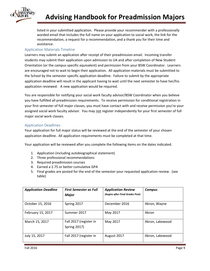

listed in your submitted application. Please provide your recommender with a professionally worded email that includes the full name on your application to social work, the link for the recommendation, a request for a recommendation, and a thank you for their time and assistance.

# Application Materials Timeline

Learners may submit an application after receipt of their preadmission email. Incoming transfer students may submit their application upon admission to UA and after completion of New Student Orientation (or the campus specific equivalent) and permission from your BSW Coordinator. Learners are encouraged not to wait to begin their application. All application materials must be submitted to the School by the semester specific application deadline. Failure to submit by the appropriate application deadline will result in the applicant having to wait until the next semester to have her/his application reviewed. A new application would be required.

You are responsible for notifying your social work faculty advisor/BSW Coordinator when you believe you have fulfilled all preadmission requirements. To receive permission for conditional registration in your first semester of full major classes, you must have contact with and receive permission you're your assigned social work faculty advisor. You may not register independently for your first semester of full major social work classes.

# Application Deadlines

Your application for full major status will be reviewed at the end of the semester of your chosen application deadline. All application requirements must be completed at that time.

Your application will be reviewed after you complete the following items on the dates indicated.

- 1. Application (including autobiographical statement)
- 2. Three professional recommendations
- 3. Required preadmission courses
- 4. Earned a 2.75 or better cumulative GPA
- 5. Final grades are posted for the end of the semester your requested application review. (see table)

| <b>Application Deadline</b> | <b>First Semester as Full</b><br><b>Major</b> | <b>Application Review</b><br>(begins after Final Grades Post) | Campus          |
|-----------------------------|-----------------------------------------------|---------------------------------------------------------------|-----------------|
| October 15, 2016            | Spring 2017                                   | December 2016                                                 | Akron, Wayne    |
| February 15, 2017           | Summer 2017                                   | May 2017                                                      | Akron           |
| March 15, 2017              | Fall 2017 (register in<br><b>Spring 2017)</b> | May 2017                                                      | Akron, Lakewood |
| July 15, 2017               | Fall 2017 (register in                        | August 2017                                                   | Akron, Lakewood |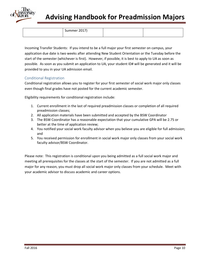

# **Advising Handbook for Preadmission Majors**

Summer 2017)

Incoming Transfer Students: If you intend to be a full major your first semester on campus, your application due date is two weeks after attending New Student Orientation or the Tuesday before the start of the semester (whichever is first). However, if possible, it is best to apply to UA as soon as possible. As soon as you submit an application to UA, your student ID# will be generated and it will be provided to you in your UA admission email.

# Conditional Registration

Conditional registration allows you to register for your first semester of social work major only classes even though final grades have not posted for the current academic semester.

Eligibility requirements for conditional registration include:

- 1. Current enrollment in the last of required preadmission classes or completion of all required preadmission classes;
- 2. All application materials have been submitted and accepted by the BSW Coordinator
- 3. The BSW Coordinator has a reasonable expectation that your cumulative GPA will be 2.75 or better at the time of application review;
- 4. You notified your social work faculty advisor when you believe you are eligible for full admission; and
- 5. You received permission for enrollment in social work major only classes from your social work faculty advisor/BSW Coordinator.

Please note: This registration is conditional upon you being admitted as a full social work major and meeting all prerequisites for the classes at the start of the semester. If you are not admitted as a full major for any reason, you must drop all social work major only classes from your schedule. Meet with your academic advisor to discuss academic and career options.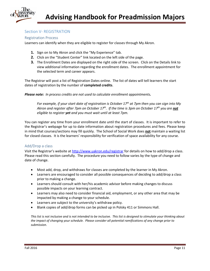

# Section V- REGISTRATION

# Registration Process

Learners can identify when they are eligible to register for classes through My Akron.

- **1.** Sign on to My Akron and click the "My Experience" tab.
- **2.** Click on the "Student Center" link located on the left side of the page.
- **3.** The Enrollment Dates are displayed on the right side of the screen. Click on the Details link to view additional information regarding the enrollment dates. The enrollment appointment for the selected term and career appears.

The Registrar will post a list of Registration Dates online. The list of dates will tell learners the start dates of registration by the number of **completed credits**.

*Please note: In process credits are not used to calculate enrollment appointments.*

*For example, if your start date of registration is October 17 th at 7pm then you can sign into My Akron and register after 7pm on October 17 th. If the time is 3pm on October 17 th you are not eligible to register yet and you must wait until at least 7pm.*

You can register any time from your enrollment date until the start of classes. It is important to refer to the Registrar's webpage for up to date information about registration procedures and fees. Please keep in mind that courses/sections may fill quickly. The School of Social Work does **not** maintain a waiting list for closed classes. It is the learners' responsibility for verification of space availability for any course.

# Add/Drop a class

Visit the Registrar's website at <http://www.uakron.edu/registrar> for details on how to add/drop a class. Please read this section carefully. The procedure you need to follow varies by the type of change and date of change.

- Most add, drop, and withdraws for classes are completed by the learner in My Akron.
- Learners are encouraged to consider all possible consequences of deciding to add/drop a class prior to making a change.
- Learners should consult with her/his academic advisor before making changes to discuss possible impacts on your learning contract.
- Learners may also need to consider financial aid, employment, or any other area that may be impacted by making a change to your schedule.
- Learners are subject to the university's withdraw policy.
- Blank copies of add/drop forms can be picked up in Polsky 411 or Simmons Hall.

*This list is not inclusive and is not intended to be inclusive. This list is designed to stimulate your thinking about the impact of changing your schedule. Please consider all potential ramifications of any change prior to submission.*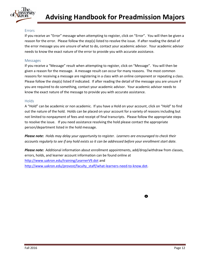

# Errors

If you receive an "Error" message when attempting to register, click on "Error". You will then be given a reason for the error. Please follow the step(s) listed to resolve the issue. If after reading the detail of the error message you are unsure of what to do, contact your academic advisor. Your academic advisor needs to know the exact nature of the error to provide you with accurate assistance.

# Messages

If you receive a "Message" result when attempting to register, click on "Message". You will then be given a reason for the message. A message result can occur for many reasons. The most common reasons for receiving a message are registering in a class with an online component or repeating a class. Please follow the step(s) listed if indicated. If after reading the detail of the message you are unsure if you are required to do something, contact your academic advisor. Your academic advisor needs to know the exact nature of the message to provide you with accurate assistance.

## **Holds**

A "Hold" can be academic or non academic. If you have a Hold on your account, click on "Hold" to find out the nature of the hold. Holds can be placed on your account for a variety of reasons including but not limited to nonpayment of fees and receipt of final transcripts. Please follow the appropriate steps to resolve the issue. If you need assistance resolving the hold please contact the appropriate person/department listed in the hold message.

*Please note: Holds may delay your opportunity to register. Learners are encouraged to check their accounts regularly to see if any hold exists so it can be addressed before your enrollment start date.*

*Please note:* Additional information about enrollment appointments, add/drop/withdraw from classes, errors, holds, and learner account information can be found online at [http://www.uakron.edu/training/LearnerV9.dot](http://www.uakron.edu/training/StudentV9.dot) and [http://www.uakron.edu/provost/faculty\\_staff/what-learners-need-to-know.dot.](http://www.uakron.edu/provost/faculty_staff/what-students-need-to-know.dot)

◎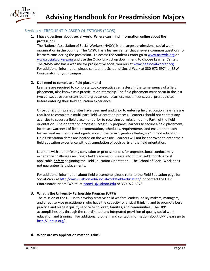

# Section VI-FREQUENTLY ASKED QUESTIONS (FAQS)

# **1. I have questions about social work. Where can I find information online about the profession?**

The National Association of Social Workers (NASW) is the largest professional social work organization in the country. The NASW has a learner center that answers common questions for learners considering the profession. To access the Student Center go to [www.naswdc.org](http://www.naswdc.org/) or [www.socialworkers.org](http://www.socialworkers.org/) and use the Quick Links drop down menu to choose Learner Center. The NASW also has a website for prospective social workers at [www.beasocialworker.org.](http://www.beasocialworker.org/) For additional information please contact the School of Social Work at 330-972-5974 or BSW Coordinator for your campus.

# **2. Do I need to complete a field placement?**

Learners are required to complete two consecutive semesters in the same agency of a field placement, also known as a practicum or internship. The field placement must occur in the last two consecutive semesters before graduation. Learners must meet several prerequisites before entering their field education experience.

Once curriculum prerequisites have been met and prior to entering field education, learners are required to complete a multi-part Field Orientation process. Learners should not contact any agencies to secure a field placement prior to receiving permission during Part I of the field orientation. The orientation process successfully prepares learners to secure a field placement, increase awareness of field documentation, schedules, requirements, and ensure that each learner realizes the role and significance of the term 'Signature Pedagogy ' in field education. Field Orientation dates are located on the website. Learners will not be approved to enter their field education experience without completion of both parts of the field orientation.

Learners with a prior felony conviction or prior sanctions for unprofessional conduct may experience challenges securing a field placement. Please inform the Field Coordinator if applicable *before* beginning the Field Education Orientation. The School of Social Work does not guarantee field placements.

For additional information about field placements please refer to the Field Education page for Social Work at <http://www.uakron.edu/socialwork/field-education/> or contact the Field Coordinator, Naomi White, at [naomi1@uakron.edu](mailto:naomi1@uakron.edu) or 330-972-5978.

## **3. What is the University Partnership Program (UPP)?**

The mission of the UPP is to develop creative child welfare leaders, policy makers, managers, and direct service practitioners who have the capacity for critical thinking and to promote best practice and highest quality service to children, families, and communities. The UPP accomplishes this through the coordinated and integrated provision of quality social work education and training. For additional program and contact information about UPP please go to [http://uppua.org/.](http://uppua.org/)

## **4. When are my application materials due?**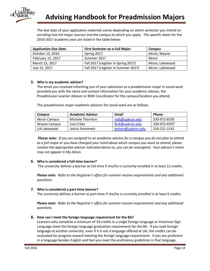

The due date of your application materials varies depending on which semester you intend on enrolling into full major courses and the campus to which you apply. The specific dates for the 2016-2017 academic year are listed in the table below:

| <b>Application Due Date</b> | <b>First Semester as a Full Major</b> | <b>Campus</b>   |
|-----------------------------|---------------------------------------|-----------------|
| October 15, 2016            | Spring 2017                           | Akron, Wayne    |
| February 15, 2017           | Summer 2017                           | Akron           |
| March 15, 2017              | Fall 2017 (register in Spring 2017)   | Akron, Lakewood |
| July 15, 2017               | Fall 2017 (register in Summer 2017)   | Akron, Lakewood |

# **5. Who is my academic advisor?**

The email you received informing you of your admission as a preadmission major in social work provided you with the name and contact information for your academic advisor, the Preadmission Learner Advisor or BSW Coordinator for the campus/location you attend.

The preadmission major academic advisors for social work are as follows.

| Campus              | Academic Advisor | Email              | Phone        |
|---------------------|------------------|--------------------|--------------|
| <b>Akron Campus</b> | Michele Thornton | mdt@uakron.edu     | 330-972-8195 |
| Wayne Campus        | Lisa Crites      | lkc6@uakron.edu    | 330-972-8707 |
| UA Lakewood         | Janice Steinmetz | jestein@uakron.edu | 216-221-1141 |

*Please note: If you are assigned to an academic advisor for a campus you do not plan to attend as a full major or you have changed your mind about which campus you want to attend, please contact the appropriate advisor indicated above so, you can be reassigned. Your advisor's name may not appear in My Akron.* 

## **6. Who is considered a full-time learner?**

The university defines a learner as full-time if she/he is currently enrolled in at least 12 credits.

*Please note: Refer to the Registrar's office for summer session requirements and any additional questions.*

## **7. Who is considered a part-time learner?**

The university defines a learner as part-time if she/he is currently enrolled in at least 6 credits.

*Please note: Refer to the Registrar's office for summer session requirements and any additional questions.*

## **8. How can I meet the foreign language requirement for the BA?**

Learners who complete a minimum of 14 credits in a single foreign language or American Sign Language meet the foreign language graduation requirement for the BA. If you took foreign language at another university, even if it is not a language offered at UA, the credits can be evaluated for progress toward meeting the foreign language requirement. If you are proficient in a language besides English and feel you meet the proficiency guidelines in that language,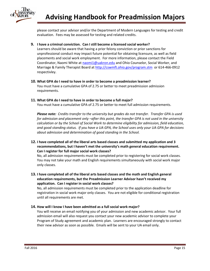

please contact your advisor and/or the Department of Modern Languages for testing and credit evaluation. Fees may be assessed for testing and related credits.

**9. I have a criminal conviction. Can I still become a licensed social worker?**

Learners should be aware that having a prior felony conviction or prior sanctions for unprofessional conduct may impact future potential for obtaining licensure, as well as field placements and social work employment. For more information, please contact the Field Coordinator, Naomi White at [naomi1@uakron.edu](mailto:naomi1@uakron.edu) and Ohio Counselor, Social Worker, and Marriage & Family Therapist Board at<http://cswmft.ohio.gov/program.stm>or 614-466-0912 respectivley.

# **10. What GPA do I need to have in order to become a preadmission learner?**

You must have a cumulative GPA of 2.75 or better to meet preadmission admission requirements.

# **11. What GPA do I need to have in order to become a full major?**

You must have a cumulative GPA of 2.75 or better to meet full admission requirements.

*Please note: Credits transfer to the university but grades do not transfer. Transfer GPA is used for admission and placement only –after this point, the transfer GPA is not used in the university calculation or by the School of Social Work to determine eligibility for admission, field education, and good standing status. If you have a UA GPA, the School uses only your UA GPA for decisions about admission and determination of good standing in the School.*

**12. I have completed all of the liberal arts based classes and submitted my application and 3 recommendations, but I haven't met the university's math general education requirement. Can I register for full major social work classes?**

No, all admission requirements must be completed prior to registering for social work classes. You may not take your math and English requirements simultaneously with social work major only classes.

**13. I have completed all of the liberal arts based classes and the math and English general education requirements, but the Preadmission Learner Advisor hasn't received my application. Can I register in social work classes?**

No, all admission requirements must be completed prior to the application deadline for registration in social work major only classes. You are not eligible for conditional registration until all requirements are met.

# **14. How will I know I have been admitted as a full social work major?**

You will receive an email notifying you of your admission and new academic advisor. Your full admission email will also request you contact your new academic advisor to complete your Program of Study agreement and academic plan. Learners are encouraged strongly to contact their new advisor as soon as possible. Emails will be sent to your UA email only.